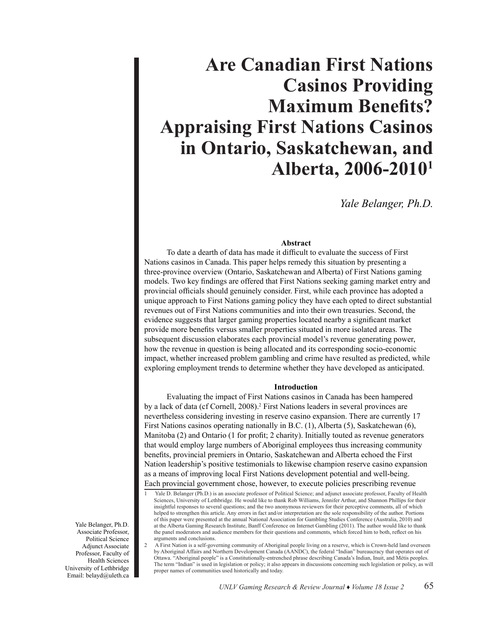# **Are Canadian First Nations Casinos Providing Maximum Benefits? Appraising First Nations Casinos in Ontario, Saskatchewan, and Alberta, 2006-20101**

*Yale Belanger, Ph.D.*

# **Abstract**

 To date a dearth of data has made it difficult to evaluate the success of First Nations casinos in Canada. This paper helps remedy this situation by presenting a three-province overview (Ontario, Saskatchewan and Alberta) of First Nations gaming models. Two key findings are offered that First Nations seeking gaming market entry and provincial officials should genuinely consider. First, while each province has adopted a unique approach to First Nations gaming policy they have each opted to direct substantial revenues out of First Nations communities and into their own treasuries. Second, the evidence suggests that larger gaming properties located nearby a significant market provide more benefits versus smaller properties situated in more isolated areas. The subsequent discussion elaborates each provincial model's revenue generating power, how the revenue in question is being allocated and its corresponding socio-economic impact, whether increased problem gambling and crime have resulted as predicted, while exploring employment trends to determine whether they have developed as anticipated.

### **Introduction**

 Evaluating the impact of First Nations casinos in Canada has been hampered by a lack of data (cf Cornell, 2008).<sup>2</sup> First Nations leaders in several provinces are nevertheless considering investing in reserve casino expansion. There are currently 17 First Nations casinos operating nationally in B.C. (1), Alberta (5), Saskatchewan (6), Manitoba (2) and Ontario (1 for profit; 2 charity). Initially touted as revenue generators that would employ large numbers of Aboriginal employees thus increasing community benefits, provincial premiers in Ontario, Saskatchewan and Alberta echoed the First Nation leadership's positive testimonials to likewise champion reserve casino expansion as a means of improving local First Nations development potential and well-being. Each provincial government chose, however, to execute policies prescribing revenue

Yale Belanger, Ph.D. Associate Professor, Political Science Adjunct Associate Professor, Faculty of Health Sciences University of Lethbridge Email: belayd@uleth.ca

Yale D. Belanger (Ph.D.) is an associate professor of Political Science; and adjunct associate professor, Faculty of Health Sciences, University of Lethbridge. He would like to thank Rob Williams, Jennifer Arthur, and Shannon Phillips for their insightful responses to several questions; and the two anonymous reviewers for their perceptive comments, all of which helped to strengthen this article. Any errors in fact and/or interpretation are the sole responsibility of the author. Portions of this paper were presented at the annual National Association for Gambling Studies Conference (Australia, 2010) and at the Alberta Gaming Research Institute, Banff Conference on Internet Gambling (2011). The author would like to thank the panel moderators and audience members for their questions and comments, which forced him to both, reflect on his arguments and conclusions.

<sup>2</sup>  A First Nation is a self-governing community of Aboriginal people living on a reserve, which is Crown-held land overseen by Aboriginal Affairs and Northern Development Canada (AANDC), the federal "Indian" bureaucracy that operates out of Ottawa. "Aboriginal people" is a Constitutionally-entrenched phrase describing Canada's Indian, Inuit, and Métis peoples. The term "Indian" is used in legislation or policy; it also appears in discussions concerning such legislation or policy, as will proper names of communities used historically and today.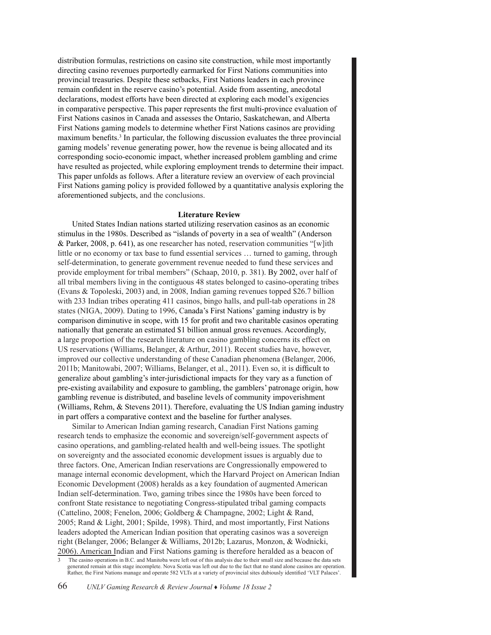distribution formulas, restrictions on casino site construction, while most importantly directing casino revenues purportedly earmarked for First Nations communities into provincial treasuries. Despite these setbacks, First Nations leaders in each province remain confident in the reserve casino's potential. Aside from assenting, anecdotal declarations, modest efforts have been directed at exploring each model's exigencies in comparative perspective. This paper represents the first multi-province evaluation of First Nations casinos in Canada and assesses the Ontario, Saskatchewan, and Alberta First Nations gaming models to determine whether First Nations casinos are providing maximum benefits.<sup>3</sup> In particular, the following discussion evaluates the three provincial gaming models' revenue generating power, how the revenue is being allocated and its corresponding socio-economic impact, whether increased problem gambling and crime have resulted as projected, while exploring employment trends to determine their impact. This paper unfolds as follows. After a literature review an overview of each provincial First Nations gaming policy is provided followed by a quantitative analysis exploring the aforementioned subjects, and the conclusions.

# **Literature Review**

United States Indian nations started utilizing reservation casinos as an economic stimulus in the 1980s. Described as "islands of poverty in a sea of wealth" (Anderson & Parker, 2008, p. 641), as one researcher has noted, reservation communities "[w]ith little or no economy or tax base to fund essential services … turned to gaming, through self-determination, to generate government revenue needed to fund these services and provide employment for tribal members" (Schaap, 2010, p. 381). By 2002, over half of all tribal members living in the contiguous 48 states belonged to casino-operating tribes (Evans & Topoleski, 2003) and, in 2008, Indian gaming revenues topped \$26.7 billion with 233 Indian tribes operating 411 casinos, bingo halls, and pull-tab operations in 28 states (NIGA, 2009). Dating to 1996, Canada's First Nations' gaming industry is by comparison diminutive in scope, with 15 for profit and two charitable casinos operating nationally that generate an estimated \$1 billion annual gross revenues. Accordingly, a large proportion of the research literature on casino gambling concerns its effect on US reservations (Williams, Belanger, & Arthur, 2011). Recent studies have, however, improved our collective understanding of these Canadian phenomena (Belanger, 2006, 2011b; Manitowabi, 2007; Williams, Belanger, et al., 2011). Even so, it is difficult to generalize about gambling's inter-jurisdictional impacts for they vary as a function of pre-existing availability and exposure to gambling, the gamblers' patronage origin, how gambling revenue is distributed, and baseline levels of community impoverishment (Williams, Rehm, & Stevens 2011). Therefore, evaluating the US Indian gaming industry in part offers a comparative context and the baseline for further analyses.

Similar to American Indian gaming research, Canadian First Nations gaming research tends to emphasize the economic and sovereign/self-government aspects of casino operations, and gambling-related health and well-being issues. The spotlight on sovereignty and the associated economic development issues is arguably due to three factors. One, American Indian reservations are Congressionally empowered to manage internal economic development, which the Harvard Project on American Indian Economic Development (2008) heralds as a key foundation of augmented American Indian self-determination. Two, gaming tribes since the 1980s have been forced to confront State resistance to negotiating Congress-stipulated tribal gaming compacts (Cattelino, 2008; Fenelon, 2006; Goldberg & Champagne, 2002; Light & Rand, 2005; Rand & Light, 2001; Spilde, 1998). Third, and most importantly, First Nations leaders adopted the American Indian position that operating casinos was a sovereign right (Belanger, 2006; Belanger & Williams, 2012b; Lazarus, Monzon, & Wodnicki, 2006). American Indian and First Nations gaming is therefore heralded as a beacon of

The casino operations in B.C. and Manitoba were left out of this analysis due to their small size and because the data sets generated remain at this stage incomplete. Nova Scotia was left out due to the fact that no stand alone casinos are operation. Rather, the First Nations manage and operate 582 VLTs at a variety of provincial sites dubiously identified 'VLT Palaces'.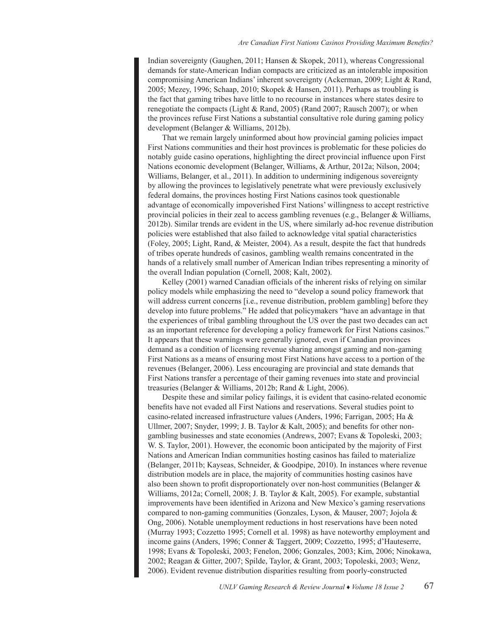Indian sovereignty (Gaughen, 2011; Hansen & Skopek, 2011), whereas Congressional demands for state-American Indian compacts are criticized as an intolerable imposition compromising American Indians' inherent sovereignty (Ackerman, 2009; Light & Rand, 2005; Mezey, 1996; Schaap, 2010; Skopek & Hansen, 2011). Perhaps as troubling is the fact that gaming tribes have little to no recourse in instances where states desire to renegotiate the compacts (Light & Rand, 2005) (Rand 2007; Rausch 2007); or when the provinces refuse First Nations a substantial consultative role during gaming policy development (Belanger & Williams, 2012b).

That we remain largely uninformed about how provincial gaming policies impact First Nations communities and their host provinces is problematic for these policies do notably guide casino operations, highlighting the direct provincial influence upon First Nations economic development (Belanger, Williams, & Arthur, 2012a; Nilson, 2004; Williams, Belanger, et al., 2011). In addition to undermining indigenous sovereignty by allowing the provinces to legislatively penetrate what were previously exclusively federal domains, the provinces hosting First Nations casinos took questionable advantage of economically impoverished First Nations' willingness to accept restrictive provincial policies in their zeal to access gambling revenues (e.g., Belanger & Williams, 2012b). Similar trends are evident in the US, where similarly ad-hoc revenue distribution policies were established that also failed to acknowledge vital spatial characteristics (Foley, 2005; Light, Rand, & Meister, 2004). As a result, despite the fact that hundreds of tribes operate hundreds of casinos, gambling wealth remains concentrated in the hands of a relatively small number of American Indian tribes representing a minority of the overall Indian population (Cornell, 2008; Kalt, 2002).

Kelley (2001) warned Canadian officials of the inherent risks of relying on similar policy models while emphasizing the need to "develop a sound policy framework that will address current concerns [i.e., revenue distribution, problem gambling] before they develop into future problems." He added that policymakers "have an advantage in that the experiences of tribal gambling throughout the US over the past two decades can act as an important reference for developing a policy framework for First Nations casinos." It appears that these warnings were generally ignored, even if Canadian provinces demand as a condition of licensing revenue sharing amongst gaming and non-gaming First Nations as a means of ensuring most First Nations have access to a portion of the revenues (Belanger, 2006). Less encouraging are provincial and state demands that First Nations transfer a percentage of their gaming revenues into state and provincial treasuries (Belanger & Williams, 2012b; Rand & Light, 2006).

Despite these and similar policy failings, it is evident that casino-related economic benefits have not evaded all First Nations and reservations. Several studies point to casino-related increased infrastructure values (Anders, 1996; Farrigan, 2005; Ha & Ullmer, 2007; Snyder, 1999; J. B. Taylor & Kalt, 2005); and benefits for other nongambling businesses and state economies (Andrews, 2007; Evans & Topoleski, 2003; W. S. Taylor, 2001). However, the economic boon anticipated by the majority of First Nations and American Indian communities hosting casinos has failed to materialize (Belanger, 2011b; Kayseas, Schneider, & Goodpipe, 2010). In instances where revenue distribution models are in place, the majority of communities hosting casinos have also been shown to profit disproportionately over non-host communities (Belanger & Williams, 2012a; Cornell, 2008; J. B. Taylor & Kalt, 2005). For example, substantial improvements have been identified in Arizona and New Mexico's gaming reservations compared to non-gaming communities (Gonzales, Lyson, & Mauser, 2007; Jojola & Ong, 2006). Notable unemployment reductions in host reservations have been noted (Murray 1993; Cozzetto 1995; Cornell et al. 1998) as have noteworthy employment and income gains (Anders, 1996; Conner & Taggert, 2009; Cozzetto, 1995; d'Hauteserre, 1998; Evans & Topoleski, 2003; Fenelon, 2006; Gonzales, 2003; Kim, 2006; Ninokawa, 2002; Reagan & Gitter, 2007; Spilde, Taylor, & Grant, 2003; Topoleski, 2003; Wenz, 2006). Evident revenue distribution disparities resulting from poorly-constructed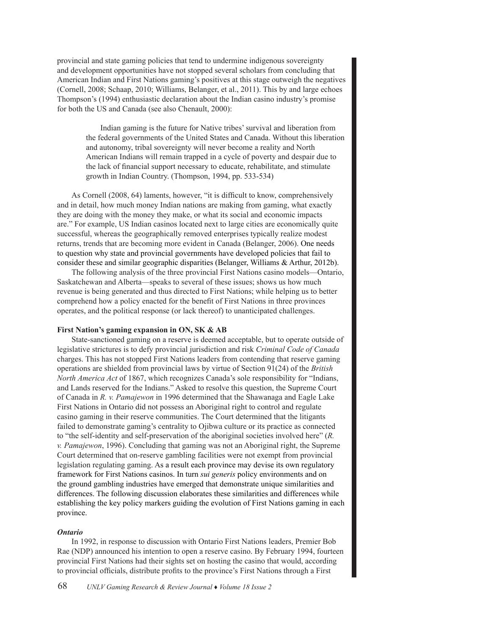provincial and state gaming policies that tend to undermine indigenous sovereignty and development opportunities have not stopped several scholars from concluding that American Indian and First Nations gaming's positives at this stage outweigh the negatives (Cornell, 2008; Schaap, 2010; Williams, Belanger, et al., 2011). This by and large echoes Thompson's (1994) enthusiastic declaration about the Indian casino industry's promise for both the US and Canada (see also Chenault, 2000):

Indian gaming is the future for Native tribes'survival and liberation from the federal governments of the United States and Canada. Without this liberation and autonomy, tribal sovereignty will never become a reality and North American Indians will remain trapped in a cycle of poverty and despair due to the lack of financial support necessary to educate, rehabilitate, and stimulate growth in Indian Country. (Thompson, 1994, pp. 533-534)

As Cornell (2008, 64) laments, however, "it is difficult to know, comprehensively and in detail, how much money Indian nations are making from gaming, what exactly they are doing with the money they make, or what its social and economic impacts are." For example, US Indian casinos located next to large cities are economically quite successful, whereas the geographically removed enterprises typically realize modest returns, trends that are becoming more evident in Canada (Belanger, 2006). One needs to question why state and provincial governments have developed policies that fail to consider these and similar geographic disparities (Belanger, Williams & Arthur, 2012b).

The following analysis of the three provincial First Nations casino models—Ontario, Saskatchewan and Alberta—speaks to several of these issues; shows us how much revenue is being generated and thus directed to First Nations; while helping us to better comprehend how a policy enacted for the benefit of First Nations in three provinces operates, and the political response (or lack thereof) to unanticipated challenges.

# **First Nation's gaming expansion in ON, SK & AB**

State-sanctioned gaming on a reserve is deemed acceptable, but to operate outside of legislative strictures is to defy provincial jurisdiction and risk *Criminal Code of Canada* charges. This has not stopped First Nations leaders from contending that reserve gaming operations are shielded from provincial laws by virtue of Section 91(24) of the *British North America Act* of 1867, which recognizes Canada's sole responsibility for "Indians, and Lands reserved for the Indians." Asked to resolve this question, the Supreme Court of Canada in *R. v. Pamajewon* in 1996 determined that the Shawanaga and Eagle Lake First Nations in Ontario did not possess an Aboriginal right to control and regulate casino gaming in their reserve communities. The Court determined that the litigants failed to demonstrate gaming's centrality to Ojibwa culture or its practice as connected to "the self-identity and self-preservation of the aboriginal societies involved here" (*R. v. Pamajewon*, 1996). Concluding that gaming was not an Aboriginal right, the Supreme Court determined that on-reserve gambling facilities were not exempt from provincial legislation regulating gaming. As a result each province may devise its own regulatory framework for First Nations casinos. In turn *sui generis* policy environments and on the ground gambling industries have emerged that demonstrate unique similarities and differences. The following discussion elaborates these similarities and differences while establishing the key policy markers guiding the evolution of First Nations gaming in each province.

## *Ontario*

In 1992, in response to discussion with Ontario First Nations leaders, Premier Bob Rae (NDP) announced his intention to open a reserve casino. By February 1994, fourteen provincial First Nations had their sights set on hosting the casino that would, according to provincial officials, distribute profits to the province's First Nations through a First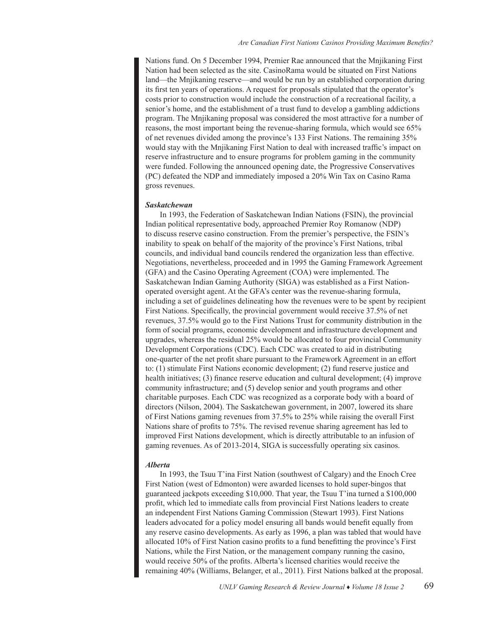Nations fund. On 5 December 1994, Premier Rae announced that the Mnjikaning First Nation had been selected as the site. CasinoRama would be situated on First Nations land—the Mnjikaning reserve—and would be run by an established corporation during its first ten years of operations. A request for proposals stipulated that the operator's costs prior to construction would include the construction of a recreational facility, a senior's home, and the establishment of a trust fund to develop a gambling addictions program. The Mnjikaning proposal was considered the most attractive for a number of reasons, the most important being the revenue-sharing formula, which would see 65% of net revenues divided among the province's 133 First Nations. The remaining 35% would stay with the Mnjikaning First Nation to deal with increased traffic's impact on reserve infrastructure and to ensure programs for problem gaming in the community were funded. Following the announced opening date, the Progressive Conservatives (PC) defeated the NDP and immediately imposed a 20% Win Tax on Casino Rama gross revenues.

#### *Saskatchewan*

In 1993, the Federation of Saskatchewan Indian Nations (FSIN), the provincial Indian political representative body, approached Premier Roy Romanow (NDP) to discuss reserve casino construction. From the premier's perspective, the FSIN's inability to speak on behalf of the majority of the province's First Nations, tribal councils, and individual band councils rendered the organization less than effective. Negotiations, nevertheless, proceeded and in 1995 the Gaming Framework Agreement (GFA) and the Casino Operating Agreement (COA) were implemented. The Saskatchewan Indian Gaming Authority (SIGA) was established as a First Nationoperated oversight agent. At the GFA's center was the revenue-sharing formula, including a set of guidelines delineating how the revenues were to be spent by recipient First Nations. Specifically, the provincial government would receive 37.5% of net revenues, 37.5% would go to the First Nations Trust for community distribution in the form of social programs, economic development and infrastructure development and upgrades, whereas the residual 25% would be allocated to four provincial Community Development Corporations (CDC). Each CDC was created to aid in distributing one-quarter of the net profit share pursuant to the Framework Agreement in an effort to: (1) stimulate First Nations economic development; (2) fund reserve justice and health initiatives; (3) finance reserve education and cultural development; (4) improve community infrastructure; and (5) develop senior and youth programs and other charitable purposes. Each CDC was recognized as a corporate body with a board of directors (Nilson, 2004). The Saskatchewan government, in 2007, lowered its share of First Nations gaming revenues from 37.5% to 25% while raising the overall First Nations share of profits to 75%. The revised revenue sharing agreement has led to improved First Nations development, which is directly attributable to an infusion of gaming revenues. As of 2013-2014, SIGA is successfully operating six casinos.

### *Alberta*

In 1993, the Tsuu T'ina First Nation (southwest of Calgary) and the Enoch Cree First Nation (west of Edmonton) were awarded licenses to hold super-bingos that guaranteed jackpots exceeding \$10,000. That year, the Tsuu T'ina turned a \$100,000 profit, which led to immediate calls from provincial First Nations leaders to create an independent First Nations Gaming Commission (Stewart 1993). First Nations leaders advocated for a policy model ensuring all bands would benefit equally from any reserve casino developments. As early as 1996, a plan was tabled that would have allocated 10% of First Nation casino profits to a fund benefitting the province's First Nations, while the First Nation, or the management company running the casino, would receive 50% of the profits. Alberta's licensed charities would receive the remaining 40% (Williams, Belanger, et al., 2011). First Nations balked at the proposal.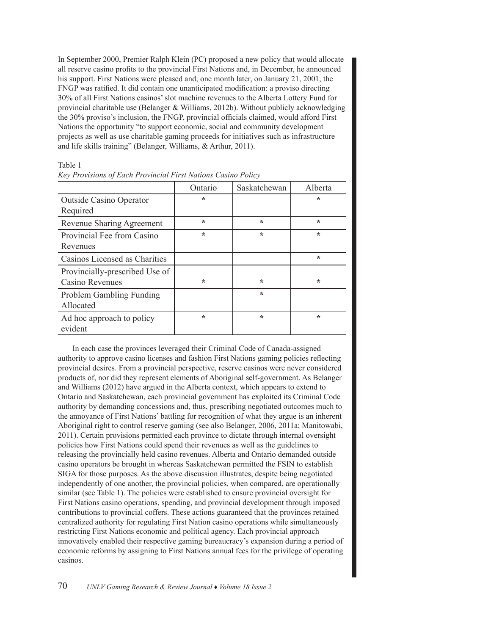In September 2000, Premier Ralph Klein (PC) proposed a new policy that would allocate all reserve casino profits to the provincial First Nations and, in December, he announced his support. First Nations were pleased and, one month later, on January 21, 2001, the FNGP was ratified. It did contain one unanticipated modification: a proviso directing 30% of all First Nations casinos'slot machine revenues to the Alberta Lottery Fund for provincial charitable use (Belanger & Williams, 2012b). Without publicly acknowledging the 30% proviso's inclusion, the FNGP, provincial officials claimed, would afford First Nations the opportunity "to support economic, social and community development projects as well as use charitable gaming proceeds for initiatives such as infrastructure and life skills training" (Belanger, Williams, & Arthur, 2011).

|                                                          | Ontario | Saskatchewan | Alberta |
|----------------------------------------------------------|---------|--------------|---------|
| <b>Outside Casino Operator</b><br>Required               | ÷       |              | ÷       |
| Revenue Sharing Agreement                                | ÷       | ÷            | ÷       |
| Provincial Fee from Casino<br>Revenues                   | $\star$ | $\star$      | $\star$ |
| Casinos Licensed as Charities                            |         |              | $\star$ |
| Provincially-prescribed Use of<br><b>Casino Revenues</b> | $\ast$  | $\star$      | $\star$ |
| <b>Problem Gambling Funding</b><br>Allocated             |         | $\star$      |         |
| Ad hoc approach to policy<br>evident                     | ÷       | $\star$      | ÷       |

| Table 1                                                       |  |
|---------------------------------------------------------------|--|
| Key Provisions of Each Provincial First Nations Casino Policy |  |

In each case the provinces leveraged their Criminal Code of Canada-assigned authority to approve casino licenses and fashion First Nations gaming policies reflecting provincial desires. From a provincial perspective, reserve casinos were never considered products of, nor did they represent elements of Aboriginal self-government. As Belanger and Williams (2012) have argued in the Alberta context, which appears to extend to Ontario and Saskatchewan, each provincial government has exploited its Criminal Code authority by demanding concessions and, thus, prescribing negotiated outcomes much to the annoyance of First Nations' battling for recognition of what they argue is an inherent Aboriginal right to control reserve gaming (see also Belanger, 2006, 2011a; Manitowabi, 2011). Certain provisions permitted each province to dictate through internal oversight policies how First Nations could spend their revenues as well as the guidelines to releasing the provincially held casino revenues. Alberta and Ontario demanded outside casino operators be brought in whereas Saskatchewan permitted the FSIN to establish SIGA for those purposes. As the above discussion illustrates, despite being negotiated independently of one another, the provincial policies, when compared, are operationally similar (see Table 1). The policies were established to ensure provincial oversight for First Nations casino operations, spending, and provincial development through imposed contributions to provincial coffers. These actions guaranteed that the provinces retained centralized authority for regulating First Nation casino operations while simultaneously restricting First Nations economic and political agency. Each provincial approach innovatively enabled their respective gaming bureaucracy's expansion during a period of economic reforms by assigning to First Nations annual fees for the privilege of operating casinos.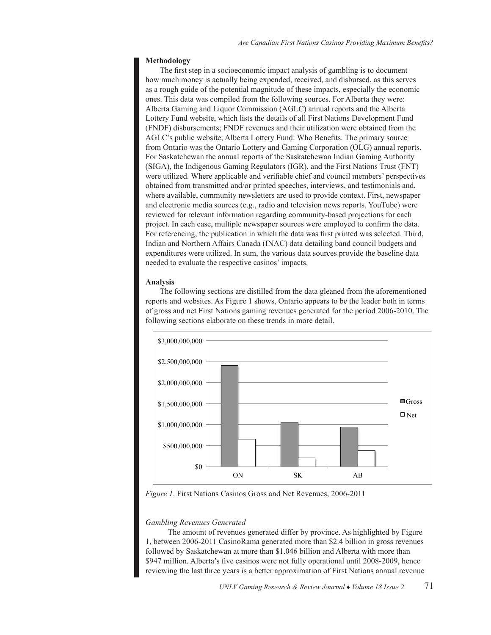# **Methodology**

The first step in a socioeconomic impact analysis of gambling is to document how much money is actually being expended, received, and disbursed, as this serves as a rough guide of the potential magnitude of these impacts, especially the economic ones. This data was compiled from the following sources. For Alberta they were: Alberta Gaming and Liquor Commission (AGLC) annual reports and the Alberta Lottery Fund website, which lists the details of all First Nations Development Fund (FNDF) disbursements; FNDF revenues and their utilization were obtained from the AGLC's public website, Alberta Lottery Fund: Who Benefits. The primary source from Ontario was the Ontario Lottery and Gaming Corporation (OLG) annual reports. For Saskatchewan the annual reports of the Saskatchewan Indian Gaming Authority (SIGA), the Indigenous Gaming Regulators (IGR), and the First Nations Trust (FNT) were utilized. Where applicable and verifiable chief and council members' perspectives obtained from transmitted and/or printed speeches, interviews, and testimonials and, where available, community newsletters are used to provide context. First, newspaper and electronic media sources (e.g., radio and television news reports, YouTube) were reviewed for relevant information regarding community-based projections for each project. In each case, multiple newspaper sources were employed to confirm the data. For referencing, the publication in which the data was first printed was selected. Third, Indian and Northern Affairs Canada (INAC) data detailing band council budgets and expenditures were utilized. In sum, the various data sources provide the baseline data needed to evaluate the respective casinos' impacts.

# **Analysis**

The following sections are distilled from the data gleaned from the aforementioned reports and websites. As Figure 1 shows, Ontario appears to be the leader both in terms of gross and net First Nations gaming revenues generated for the period 2006-2010. The following sections elaborate on these trends in more detail.



*Figure 1*. First Nations Casinos Gross and Net Revenues, 2006-2011 *Figure 1*. First Nations Casinos Gross and Net Revenues, 2006-2011

# *Gambling Revenues Generated Gambling Revenues Generated*

The amount of revenues generated differ by province. As highlighted by Figure 1, between 2006-2011 CasinoRama generated more than \$2.4 billion in gross revenues followed by Saskatchewan at more than \$1.046 billion and Alberta with more than \$947 million. Alberta's five casinos were not fully operational until 2008-2009, hence reviewing the last three years is a better approximation of First Nations annual revenue

revenues generated Ontario \$1.39 billion, which outpaces Alberta and Saskatchewan, which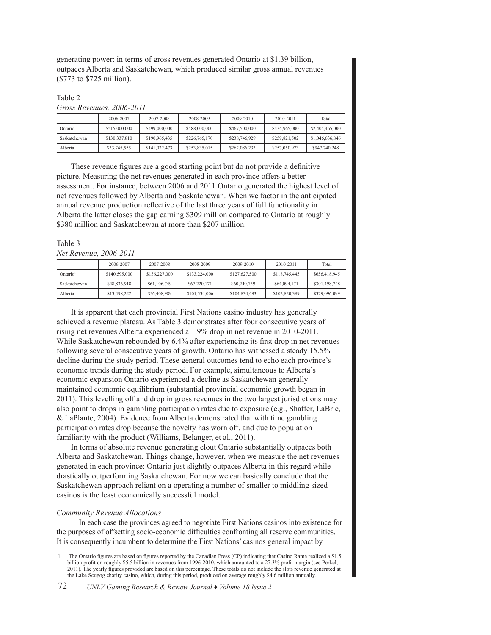generating power: in terms of gross revenues generated Ontario at \$1.39 billion, outpaces Alberta and Saskatchewan, which produced similar gross annual revenues (\$773 to \$725 million).

# Table 2 *Gross Revenues, 2006-2011*

|              | 2006-2007     | 2007-2008     | 2008-2009     | 2009-2010     | 2010-2011     | Total           |
|--------------|---------------|---------------|---------------|---------------|---------------|-----------------|
| Ontario      | \$515,000,000 | \$499,000,000 | \$488,000,000 | \$467,500,000 | \$434,965,000 | \$2,404,465,000 |
| Saskatchewan | \$130,337,810 | \$190,965,435 | \$226,765,170 | \$238,746,929 | \$259,821,502 | \$1,046,636,846 |
| Alberta      | \$33,745,555  | \$141,022,473 | \$253.835.015 | \$262,086,233 | \$257,050,973 | \$947.740.248   |

These revenue figures are a good starting point but do not provide a definitive picture. Measuring the net revenues generated in each province offers a better assessment. For instance, between 2006 and 2011 Ontario generated the highest level of net revenues followed by Alberta and Saskatchewan. When we factor in the anticipated annual revenue production reflective of the last three years of full functionality in Alberta the latter closes the gap earning \$309 million compared to Ontario at roughly \$380 million and Saskatchewan at more than \$207 million.

# Table 3 *Net Revenue, 2006-2011*

|                      | 2006-2007     | 2007-2008     | 2008-2009     | 2009-2010     | 2010-2011     | Total         |
|----------------------|---------------|---------------|---------------|---------------|---------------|---------------|
| Ontario <sup>1</sup> | \$140,595,000 | \$136,227,000 | \$133,224,000 | \$127,627,500 | \$118,745,445 | \$656,418,945 |
| Saskatchewan         | \$48,836,918  | \$61,106,749  | \$67,220,171  | \$60,240,739  | \$64,094,171  | \$301,498,748 |
| Alberta              | \$13,498,222  | \$56,408,989  | \$101,534,006 | \$104,834,493 | \$102,820,389 | \$379,096,099 |

It is apparent that each provincial First Nations casino industry has generally achieved a revenue plateau. As Table 3 demonstrates after four consecutive years of rising net revenues Alberta experienced a 1.9% drop in net revenue in 2010-2011. While Saskatchewan rebounded by 6.4% after experiencing its first drop in net revenues following several consecutive years of growth. Ontario has witnessed a steady 15.5% decline during the study period. These general outcomes tend to echo each province's economic trends during the study period. For example, simultaneous to Alberta's economic expansion Ontario experienced a decline as Saskatchewan generally maintained economic equilibrium (substantial provincial economic growth began in 2011). This levelling off and drop in gross revenues in the two largest jurisdictions may also point to drops in gambling participation rates due to exposure (e.g., Shaffer, LaBrie, & LaPlante, 2004). Evidence from Alberta demonstrated that with time gambling participation rates drop because the novelty has worn off, and due to population familiarity with the product (Williams, Belanger, et al., 2011). 

In terms of absolute revenue generating clout Ontario substantially outpaces both Alberta and Saskatchewan. Things change, however, when we measure the net revenues generated in each province: Ontario just slightly outpaces Alberta in this regard while drastically outperforming Saskatchewan. For now we can basically conclude that the Saskatchewan approach reliant on a operating a number of smaller to middling sized casinos is the least economically successful model.

# *Community Revenue Allocations*

 In each case the provinces agreed to negotiate First Nations casinos into existence for the purposes of offsetting socio-economic difficulties confronting all reserve communities. It is consequently incumbent to determine the First Nations' casinos general impact by

The Ontario figures are based on figures reported by the Canadian Press (CP) indicating that Casino Rama realized a \$1.5 billion profit on roughly \$5.5 billion in revenues from 1996-2010, which amounted to a 27.3% profit margin (see Perkel, 2011). The yearly figures provided are based on this percentage. These totals do not include the slots revenue generated at the Lake Scugog charity casino, which, during this period, produced on average roughly \$4.6 million annually.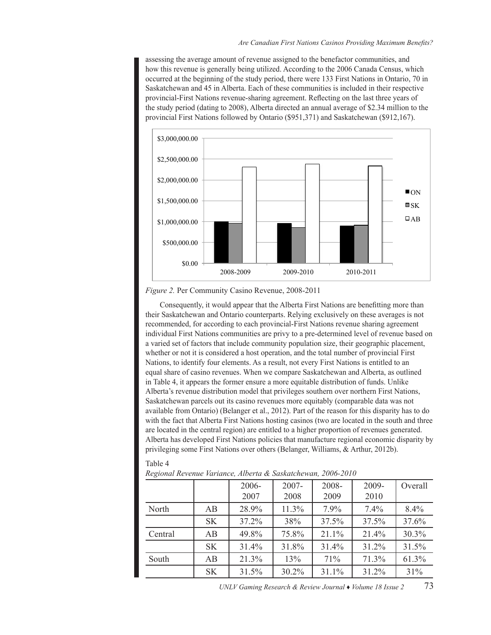assessing the average amount of revenue assigned to the benefactor communities, and how this revenue is generally being utilized. According to the 2006 Canada Census, which occurred at the beginning of the study period, there were 133 First Nations in Ontario, 70 in Saskatchewan and 45 in Alberta. Each of these communities is included in their respective provincial-First Nations revenue-sharing agreement. Reflecting on the last three years of the study period (dating to 2008), Alberta directed an annual average of \$2.34 million to the provincial First Nations followed by Ontario (\$951,371) and Saskatchewan (\$912,167).



*Figure 2.* Per Community Casino Revenue, 2008-2011 *Figure 2.* Per Community Casino Revenue, 2008-2011

Consequently, it would appear that the Alberta First Nations are benefitting more than Consequently, it would appear that the Alberta First Nations are benefitting more than their their Saskatchewan and Ontario counterparts. Relying exclusively on these averages is not Saskatchewan and Ontario counterparts. Relying exclusively on these averages is not recommended, for according to each provincial-First Nations revenue sharing agreement recommended, for according to each provincial-First Nations revenue sharing agreement individual First Nations communities are privy to a pre-determined level of revenue based on individual First Nations communities are privy to a pre-determined level of revenue based on a a varied set of factors that include community population size, their geographic placement, whether or not it is considered a host operation, and the total number of provincial First  $N<sub>1</sub>$ Nations, to identify four elements. As a result, not every First Nations is entitled to an equal share of  $\overline{X}$ equal share of casino revenues. When we compare Saskatchewan and Alberta, as outlined in Table 4, it appears of casino revenues. in Table 4, it appears the former ensure a more equitable distribution of funds. Unlike  $\mathbf{A}$ Alberta's revenue distribution model that privileges southern over northern First Nations, Saskatchewan parcels out its casino revenues more equitably (comparable data was not available from Ontario) (Belanger et al.,  $2012$ )  $\overline{B}$  and  $\overline{C}$ available from Ontario) (Belanger et al., 2012). Part of the reason for this disparity has to do with the fact that Alberta First Nations with the fact that Alberta First Nations hosting casinos (two are located in the south and three are located in the central region) are entitled to a higher proportion of revenues generated. are located in the central region) are entitled to a higher proportion of revenues generated.<br>Alberta has developed First Nations policies that manufacture regional economic disparity by Aberta has developed First Nations policies that manufacture regional economic disparity by privileging some First Nations over others (Belanger, Williams, & Arthur, 2012b). ovineging some mist ivations over others (Belanger,

# Table 4

|         |           | 2006-<br>2007 | $2007 -$<br>2008 | 2008-<br>2009 | $2009 -$<br>2010 | Overall |
|---------|-----------|---------------|------------------|---------------|------------------|---------|
| North   | AB        | 28.9%         | 11.3%            | $7.9\%$       | 7.4%             | $8.4\%$ |
|         | <b>SK</b> | 37.2%         | 38%              | 37.5%         | 37.5%            | 37.6%   |
| Central | AB        | 49.8%         | 75.8%            | 21.1%         | 21.4%            | 30.3%   |
|         | <b>SK</b> | 31.4%         | 31.8%            | 31.4%         | 31.2%            | 31.5%   |
| South   | AB        | 21.3%         | 13%              | 71%           | 71.3%            | 61.3%   |
|         | <b>SK</b> | 31.5%         | 30.2%            | 31.1%         | 31.2%            | 31%     |

Regional Revenue Variance, Alberta & Saskatchewan, 2006-2010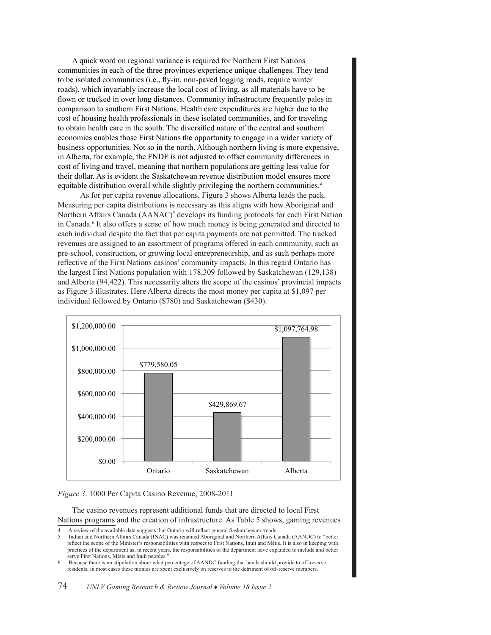A quick word on regional variance is required for Northern First Nations communities in each of the three provinces experience unique challenges. They tend to be isolated communities (i.e., fly-in, non-paved logging roads, require winter roads), which invariably increase the local cost of living, as all materials have to be flown or trucked in over long distances. Community infrastructure frequently pales in comparison to southern First Nations. Health care expenditures are higher due to the  $\cot$  of housing health professionals in these isolated communities, and for traveling to obtain health care in the south. The diversified nature of the central and southern<br>economies enables those First Nations the opportunity to engage in a wider variety of economies enables those First Nations the opportunity to engage in a wider variety of business opportunities. Not so in the north. Although northern living is more expensive, examples opportunities: Not so in the florin, Finalogia floridation fiving is more expensive,<br>in Alberta, for example, the FNDF is not adjusted to offset community differences in cost of living and travel, meaning that northern populations are getting less value for their dollar. As is evident the Saskatchewan revenue distribution model ensures more equitable distribution overall while slightly privileging the northern communities.<sup>4</sup>

As for per capita revenue allocations, Figure 3 shows Alberta leads the pack. Measuring per capita distributions is necessary as this aligns with how Aboriginal and Northern Affairs Canada (AANAC)<sup>5</sup> develops its funding protocols for each First Nation in Canada.<sup>6</sup> It also offers a sense of how much money is being generated and directed to each individual despite the fact that per capita payments are not permitted. The tracked revenues are assigned to an assortment of programs offered in each community, such as revenues are assigned to an assortment or programs offered in each community, such as pre-school, construction, or growing local entrepreneurship, and as such perhaps more pre-senoor, construction, or growing local entrepreneurship, and as such perhaps more reflective of the First Nations casinos' community impacts. In this regard Ontario has the largest First Nations population with 178,309 followed by Saskatchewan (129,138) and Alberta  $(94,422)$ . This necessarily alters the scope of the casinos' provincial impacts as Figure 3 illustrates. Here Alberta directs the most money per capita at \$1,097 per individual followed by Ontario (\$780) and Saskatchewan (\$430).



# *Figure 3*. 1000 Per Capita Casino Revenue, 2008-2011 *Figure 3.* 1000 Per Capita Casino Revenue, 2008-2011

The casino revenues represent additional funds that are directed to local First Nations programs and the creation of infrastructure. As Table 5 shows, gaming revenues

<sup>4</sup> A review of the available data suggests that Ontario will reflect general Saskatchewan trends.

<sup>5</sup> Indian and Northern Affairs Canada (INAC) was renamed Aboriginal and Northern Affairs Canada (AANDC) to "better reflect the scope of the Minister's responsibilities with respect to First Nations, Inuit and Métis. It is also in keeping with reflect the scope of the Minister's responsibilities with respect to First Nations, inuit and Metis. It is also in Reeping with<br>practices of the department as, in recent years, the responsibilities of the department have e serve First Nations, Métis and Inuit peoples."

<sup>6</sup> Because there is no stipulation about what percentage of AANDC funding that bands should provide to off-reserve residents, in most cases these monies are spent exclusively on reserves to the detriment of off-reserve members.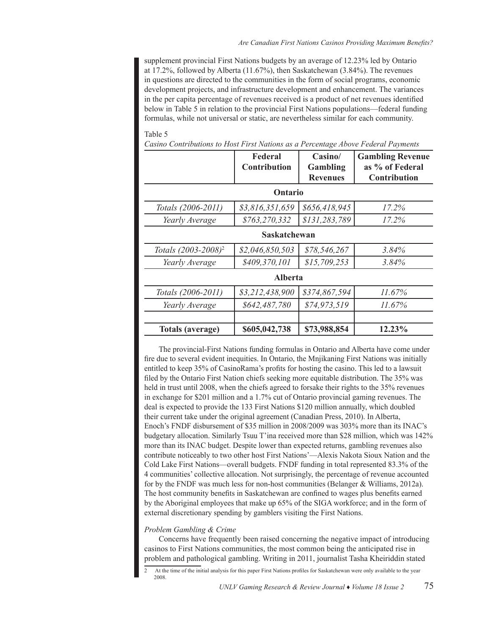supplement provincial First Nations budgets by an average of 12.23% led by Ontario at 17.2%, followed by Alberta (11.67%), then Saskatchewan (3.84%). The revenues in questions are directed to the communities in the form of social programs, economic development projects, and infrastructure development and enhancement. The variances in the per capita percentage of revenues received is a product of net revenues identified below in Table 5 in relation to the provincial First Nations populations—federal funding formulas, while not universal or static, are nevertheless similar for each community.

#### Table 5

*Casino Contributions to Host First Nations as a Percentage Above Federal Payments*

|                                 | Federal<br><b>Contribution</b> | Casino/<br>Gambling | <b>Gambling Revenue</b><br>as % of Federal |  |  |  |  |
|---------------------------------|--------------------------------|---------------------|--------------------------------------------|--|--|--|--|
|                                 |                                | <b>Revenues</b>     | <b>Contribution</b>                        |  |  |  |  |
|                                 | Ontario                        |                     |                                            |  |  |  |  |
| Totals (2006-2011)              | \$3,816,351,659                | \$656,418,945       | 17.2%                                      |  |  |  |  |
| Yearly Average                  | \$763,270,332                  | \$131,283,789       | 17.2%                                      |  |  |  |  |
|                                 | Saskatchewan                   |                     |                                            |  |  |  |  |
| Totals (2003-2008) <sup>2</sup> | \$2,046,850,503                | \$78,546,267        | 3.84%                                      |  |  |  |  |
| Yearly Average                  | \$409,370,101                  | \$15,709,253        | 3.84%                                      |  |  |  |  |
|                                 | <b>Alberta</b>                 |                     |                                            |  |  |  |  |
| Totals (2006-2011)              | \$3,212,438,900                | \$374,867,594       | $11.67\%$                                  |  |  |  |  |
| Yearly Average                  | \$642,487,780                  | \$74,973,519        | $11.67\%$                                  |  |  |  |  |
| Totals (average)                | \$605,042,738                  | \$73,988,854        | 12.23%                                     |  |  |  |  |

The provincial-First Nations funding formulas in Ontario and Alberta have come under fire due to several evident inequities. In Ontario, the Mnjikaning First Nations was initially entitled to keep 35% of CasinoRama's profits for hosting the casino. This led to a lawsuit filed by the Ontario First Nation chiefs seeking more equitable distribution. The 35% was held in trust until 2008, when the chiefs agreed to forsake their rights to the 35% revenues in exchange for \$201 million and a 1.7% cut of Ontario provincial gaming revenues. The deal is expected to provide the 133 First Nations \$120 million annually, which doubled their current take under the original agreement (Canadian Press, 2010). In Alberta, Enoch's FNDF disbursement of \$35 million in 2008/2009 was 303% more than its INAC's budgetary allocation. Similarly Tsuu T'ina received more than \$28 million, which was 142% more than its INAC budget. Despite lower than expected returns, gambling revenues also contribute noticeably to two other host First Nations'—Alexis Nakota Sioux Nation and the Cold Lake First Nations—overall budgets. FNDF funding in total represented 83.3% of the 4 communities' collective allocation. Not surprisingly, the percentage of revenue accounted for by the FNDF was much less for non-host communities (Belanger & Williams, 2012a). The host community benefits in Saskatchewan are confined to wages plus benefits earned by the Aboriginal employees that make up 65% of the SIGA workforce; and in the form of external discretionary spending by gamblers visiting the First Nations.

# *Problem Gambling & Crime*

Concerns have frequently been raised concerning the negative impact of introducing casinos to First Nations communities, the most common being the anticipated rise in problem and pathological gambling. Writing in 2011, journalist Tasha Kheiriddin stated

2 At the time of the initial analysis for this paper First Nations profiles for Saskatchewan were only available to the year 2008.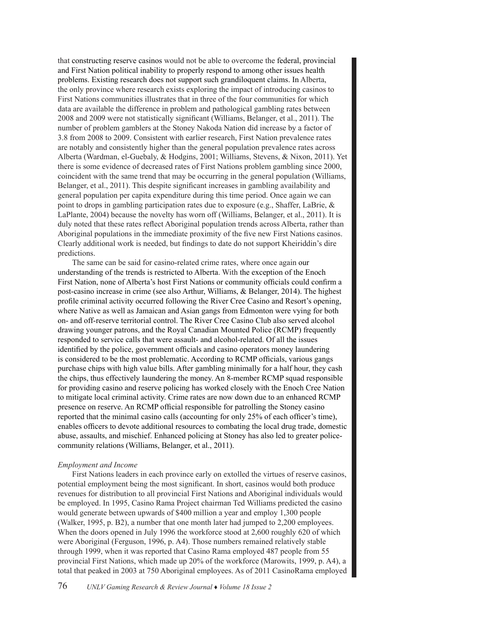that constructing reserve casinos would not be able to overcome the federal, provincial and First Nation political inability to properly respond to among other issues health problems. Existing research does not support such grandiloquent claims. In Alberta, the only province where research exists exploring the impact of introducing casinos to First Nations communities illustrates that in three of the four communities for which data are available the difference in problem and pathological gambling rates between 2008 and 2009 were not statistically significant (Williams, Belanger, et al., 2011). The number of problem gamblers at the Stoney Nakoda Nation did increase by a factor of 3.8 from 2008 to 2009. Consistent with earlier research, First Nation prevalence rates are notably and consistently higher than the general population prevalence rates across Alberta (Wardman, el-Guebaly, & Hodgins, 2001; Williams, Stevens, & Nixon, 2011). Yet there is some evidence of decreased rates of First Nations problem gambling since 2000, coincident with the same trend that may be occurring in the general population (Williams, Belanger, et al., 2011). This despite significant increases in gambling availability and general population per capita expenditure during this time period. Once again we can point to drops in gambling participation rates due to exposure (e.g., Shaffer, LaBrie, & LaPlante, 2004) because the novelty has worn off (Williams, Belanger, et al., 2011). It is duly noted that these rates reflect Aboriginal population trends across Alberta, rather than Aboriginal populations in the immediate proximity of the five new First Nations casinos. Clearly additional work is needed, but findings to date do not support Kheiriddin's dire predictions.

The same can be said for casino-related crime rates, where once again our understanding of the trends is restricted to Alberta. With the exception of the Enoch First Nation, none of Alberta's host First Nations or community officials could confirm a post-casino increase in crime (see also Arthur, Williams, & Belanger, 2014). The highest profile criminal activity occurred following the River Cree Casino and Resort's opening, where Native as well as Jamaican and Asian gangs from Edmonton were vying for both on- and off-reserve territorial control. The River Cree Casino Club also served alcohol drawing younger patrons, and the Royal Canadian Mounted Police (RCMP) frequently responded to service calls that were assault- and alcohol-related. Of all the issues identified by the police, government officials and casino operators money laundering is considered to be the most problematic. According to RCMP officials, various gangs purchase chips with high value bills. After gambling minimally for a half hour, they cash the chips, thus effectively laundering the money. An 8-member RCMP squad responsible for providing casino and reserve policing has worked closely with the Enoch Cree Nation to mitigate local criminal activity. Crime rates are now down due to an enhanced RCMP presence on reserve. An RCMP official responsible for patrolling the Stoney casino reported that the minimal casino calls (accounting for only 25% of each officer's time), enables officers to devote additional resources to combating the local drug trade, domestic abuse, assaults, and mischief. Enhanced policing at Stoney has also led to greater policecommunity relations (Williams, Belanger, et al., 2011).

# *Employment and Income*

First Nations leaders in each province early on extolled the virtues of reserve casinos, potential employment being the most significant. In short, casinos would both produce revenues for distribution to all provincial First Nations and Aboriginal individuals would be employed. In 1995, Casino Rama Project chairman Ted Williams predicted the casino would generate between upwards of \$400 million a year and employ 1,300 people (Walker, 1995, p. B2), a number that one month later had jumped to 2,200 employees. When the doors opened in July 1996 the workforce stood at 2,600 roughly 620 of which were Aboriginal (Ferguson, 1996, p. A4). Those numbers remained relatively stable through 1999, when it was reported that Casino Rama employed 487 people from 55 provincial First Nations, which made up 20% of the workforce (Marowits, 1999, p. A4), a total that peaked in 2003 at 750 Aboriginal employees. As of 2011 CasinoRama employed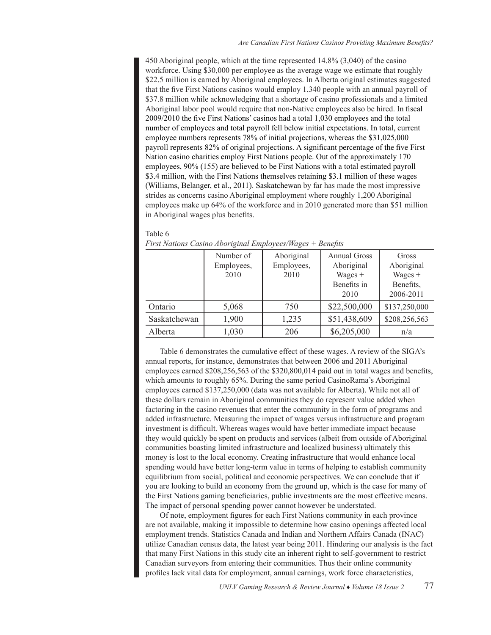450 Aboriginal people, which at the time represented 14.8% (3,040) of the casino workforce. Using \$30,000 per employee as the average wage we estimate that roughly \$22.5 million is earned by Aboriginal employees. In Alberta original estimates suggested that the five First Nations casinos would employ 1,340 people with an annual payroll of \$37.8 million while acknowledging that a shortage of casino professionals and a limited Aboriginal labor pool would require that non-Native employees also be hired. In fiscal 2009/2010 the five First Nations' casinos had a total 1,030 employees and the total number of employees and total payroll fell below initial expectations. In total, current employee numbers represents 78% of initial projections, whereas the \$31,025,000 payroll represents 82% of original projections. A significant percentage of the five First Nation casino charities employ First Nations people. Out of the approximately 170 employees, 90% (155) are believed to be First Nations with a total estimated payroll \$3.4 million, with the First Nations themselves retaining \$3.1 million of these wages (Williams, Belanger, et al., 2011). Saskatchewan by far has made the most impressive strides as concerns casino Aboriginal employment where roughly 1,200 Aboriginal employees make up 64% of the workforce and in 2010 generated more than \$51 million in Aboriginal wages plus benefits.

#### Table 6

|              | Number of<br>Employees, | Aboriginal<br>Employees, | <b>Annual Gross</b><br>Aboriginal | Gross<br>Aboriginal |
|--------------|-------------------------|--------------------------|-----------------------------------|---------------------|
|              | 2010                    | 2010                     | Wages $+$                         | $Wages +$           |
|              |                         |                          | Benefits in                       | Benefits,           |
|              |                         |                          | 2010                              | 2006-2011           |
| Ontario      | 5,068                   | 750                      | \$22,500,000                      | \$137,250,000       |
| Saskatchewan | 1,900                   | 1,235                    | \$51,438,609                      | \$208,256,563       |
| Alberta      | 1,030                   | 206                      | \$6,205,000                       | n/a                 |

*First Nations Casino Aboriginal Employees/Wages + Benefits*

Table 6 demonstrates the cumulative effect of these wages. A review of the SIGA's annual reports, for instance, demonstrates that between 2006 and 2011 Aboriginal employees earned \$208,256,563 of the \$320,800,014 paid out in total wages and benefits, which amounts to roughly 65%. During the same period CasinoRama's Aboriginal employees earned \$137,250,000 (data was not available for Alberta). While not all of these dollars remain in Aboriginal communities they do represent value added when factoring in the casino revenues that enter the community in the form of programs and added infrastructure. Measuring the impact of wages versus infrastructure and program investment is difficult. Whereas wages would have better immediate impact because they would quickly be spent on products and services (albeit from outside of Aboriginal communities boasting limited infrastructure and localized business) ultimately this money is lost to the local economy. Creating infrastructure that would enhance local spending would have better long-term value in terms of helping to establish community equilibrium from social, political and economic perspectives. We can conclude that if you are looking to build an economy from the ground up, which is the case for many of the First Nations gaming beneficiaries, public investments are the most effective means. The impact of personal spending power cannot however be understated.

Of note, employment figures for each First Nations community in each province are not available, making it impossible to determine how casino openings affected local employment trends. Statistics Canada and Indian and Northern Affairs Canada (INAC) utilize Canadian census data, the latest year being 2011. Hindering our analysis is the fact that many First Nations in this study cite an inherent right to self-government to restrict Canadian surveyors from entering their communities. Thus their online community profiles lack vital data for employment, annual earnings, work force characteristics,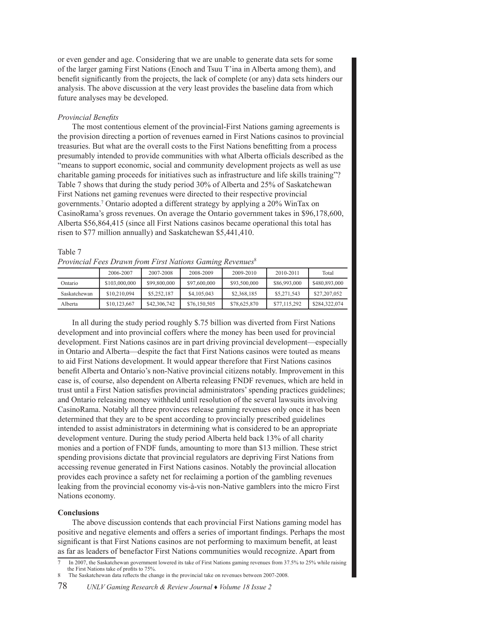or even gender and age. Considering that we are unable to generate data sets for some of the larger gaming First Nations (Enoch and Tsuu T'ina in Alberta among them), and benefit significantly from the projects, the lack of complete (or any) data sets hinders our analysis. The above discussion at the very least provides the baseline data from which future analyses may be developed.

# *Provincial Benefits*

The most contentious element of the provincial-First Nations gaming agreements is the provision directing a portion of revenues earned in First Nations casinos to provincial treasuries. But what are the overall costs to the First Nations benefitting from a process presumably intended to provide communities with what Alberta officials described as the "means to support economic, social and community development projects as well as use charitable gaming proceeds for initiatives such as infrastructure and life skills training"? Table 7 shows that during the study period 30% of Alberta and 25% of Saskatchewan First Nations net gaming revenues were directed to their respective provincial governments.7 Ontario adopted a different strategy by applying a 20% WinTax on CasinoRama's gross revenues. On average the Ontario government takes in \$96,178,600, Alberta \$56,864,415 (since all First Nations casinos became operational this total has risen to \$77 million annually) and Saskatchewan \$5,441,410.

| Provincial Fees Drawn from First Nations Gaming Revenues <sup>8</sup> |               |              |              |              |              |               |
|-----------------------------------------------------------------------|---------------|--------------|--------------|--------------|--------------|---------------|
|                                                                       | 2006-2007     | 2007-2008    | 2008-2009    | 2009-2010    | 2010-2011    | Total         |
| Ontario                                                               | \$103,000,000 | \$99,800,000 | \$97,600,000 | \$93,500,000 | \$86,993,000 | \$480,893,000 |
| Saskatchewan                                                          | \$10.210.094  | \$5,252,187  | \$4,105,043  | \$2,368,185  | \$5,271,543  | \$27,207,052  |
| Alberta                                                               | \$10,123,667  | \$42,306,742 | \$76,150,505 | \$78,625,870 | \$77,115,292 | \$284,322,074 |

# Table 7

In all during the study period roughly \$.75 billion was diverted from First Nations development and into provincial coffers where the money has been used for provincial development. First Nations casinos are in part driving provincial development—especially in Ontario and Alberta—despite the fact that First Nations casinos were touted as means to aid First Nations development. It would appear therefore that First Nations casinos benefit Alberta and Ontario's non-Native provincial citizens notably. Improvement in this case is, of course, also dependent on Alberta releasing FNDF revenues, which are held in trust until a First Nation satisfies provincial administrators'spending practices guidelines; and Ontario releasing money withheld until resolution of the several lawsuits involving CasinoRama. Notably all three provinces release gaming revenues only once it has been determined that they are to be spent according to provincially prescribed guidelines intended to assist administrators in determining what is considered to be an appropriate development venture. During the study period Alberta held back 13% of all charity monies and a portion of FNDF funds, amounting to more than \$13 million. These strict spending provisions dictate that provincial regulators are depriving First Nations from accessing revenue generated in First Nations casinos. Notably the provincial allocation provides each province a safety net for reclaiming a portion of the gambling revenues leaking from the provincial economy vis-à-vis non-Native gamblers into the micro First Nations economy.

# **Conclusions**

The above discussion contends that each provincial First Nations gaming model has positive and negative elements and offers a series of important findings. Perhaps the most significant is that First Nations casinos are not performing to maximum benefit, at least as far as leaders of benefactor First Nations communities would recognize. Apart from

In 2007, the Saskatchewan government lowered its take of First Nations gaming revenues from 37.5% to 25% while raising the First Nations take of profits to 75%.

The Saskatchewan data reflects the change in the provincial take on revenues between 2007-2008.

<sup>78</sup> *UNLV Gaming Research & Review Journal* ♦ *Volume 18 Issue 2*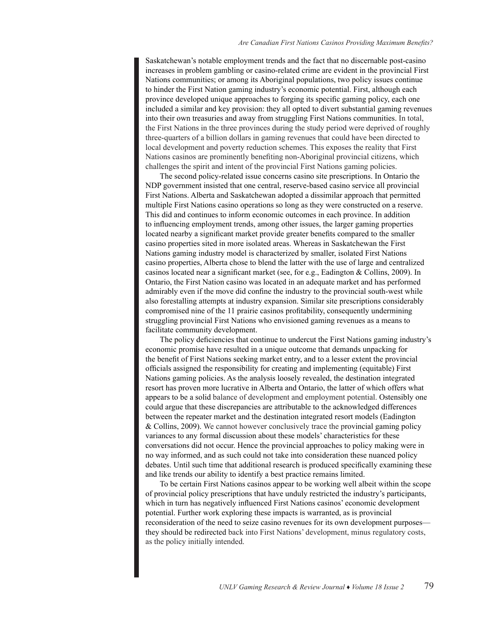Saskatchewan's notable employment trends and the fact that no discernable post-casino increases in problem gambling or casino-related crime are evident in the provincial First Nations communities; or among its Aboriginal populations, two policy issues continue to hinder the First Nation gaming industry's economic potential. First, although each province developed unique approaches to forging its specific gaming policy, each one included a similar and key provision: they all opted to divert substantial gaming revenues into their own treasuries and away from struggling First Nations communities. In total, the First Nations in the three provinces during the study period were deprived of roughly three-quarters of a billion dollars in gaming revenues that could have been directed to local development and poverty reduction schemes. This exposes the reality that First Nations casinos are prominently benefiting non-Aboriginal provincial citizens, which challenges the spirit and intent of the provincial First Nations gaming policies.

The second policy-related issue concerns casino site prescriptions. In Ontario the NDP government insisted that one central, reserve-based casino service all provincial First Nations. Alberta and Saskatchewan adopted a dissimilar approach that permitted multiple First Nations casino operations so long as they were constructed on a reserve. This did and continues to inform economic outcomes in each province. In addition to influencing employment trends, among other issues, the larger gaming properties located nearby a significant market provide greater benefits compared to the smaller casino properties sited in more isolated areas. Whereas in Saskatchewan the First Nations gaming industry model is characterized by smaller, isolated First Nations casino properties, Alberta chose to blend the latter with the use of large and centralized casinos located near a significant market (see, for e.g., Eadington & Collins, 2009). In Ontario, the First Nation casino was located in an adequate market and has performed admirably even if the move did confine the industry to the provincial south-west while also forestalling attempts at industry expansion. Similar site prescriptions considerably compromised nine of the 11 prairie casinos profitability, consequently undermining struggling provincial First Nations who envisioned gaming revenues as a means to facilitate community development.

The policy deficiencies that continue to undercut the First Nations gaming industry's economic promise have resulted in a unique outcome that demands unpacking for the benefit of First Nations seeking market entry, and to a lesser extent the provincial officials assigned the responsibility for creating and implementing (equitable) First Nations gaming policies. As the analysis loosely revealed, the destination integrated resort has proven more lucrative in Alberta and Ontario, the latter of which offers what appears to be a solid balance of development and employment potential. Ostensibly one could argue that these discrepancies are attributable to the acknowledged differences between the repeater market and the destination integrated resort models (Eadington & Collins, 2009). We cannot however conclusively trace the provincial gaming policy variances to any formal discussion about these models' characteristics for these conversations did not occur. Hence the provincial approaches to policy making were in no way informed, and as such could not take into consideration these nuanced policy debates. Until such time that additional research is produced specifically examining these and like trends our ability to identify a best practice remains limited.

To be certain First Nations casinos appear to be working well albeit within the scope of provincial policy prescriptions that have unduly restricted the industry's participants, which in turn has negatively influenced First Nations casinos' economic development potential. Further work exploring these impacts is warranted, as is provincial reconsideration of the need to seize casino revenues for its own development purposes they should be redirected back into First Nations' development, minus regulatory costs, as the policy initially intended.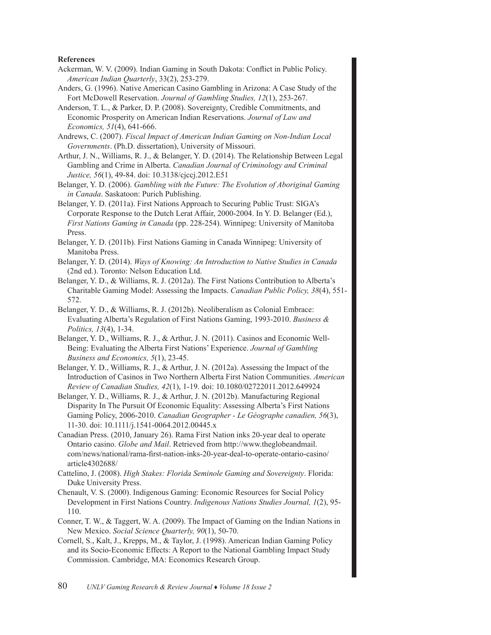# **References**

- Ackerman, W. V. (2009). Indian Gaming in South Dakota: Conflict in Public Policy. *American Indian Quarterly*, 33(2), 253-279.
- Anders, G. (1996). Native American Casino Gambling in Arizona: A Case Study of the Fort McDowell Reservation. *Journal of Gambling Studies, 12*(1), 253-267.
- Anderson, T. L., & Parker, D. P. (2008). Sovereignty, Credible Commitments, and Economic Prosperity on American Indian Reservations. *Journal of Law and Economics, 51*(4), 641-666.

Andrews, C. (2007). *Fiscal Impact of American Indian Gaming on Non-Indian Local Governments*. (Ph.D. dissertation), University of Missouri.

- Arthur, J. N., Williams, R. J., & Belanger, Y. D. (2014). The Relationship Between Legal Gambling and Crime in Alberta. *Canadian Journal of Criminology and Criminal Justice, 56*(1), 49-84. doi: 10.3138/cjccj.2012.E51
- Belanger, Y. D. (2006). *Gambling with the Future: The Evolution of Aboriginal Gaming in Canada*. Saskatoon: Purich Publishing.
- Belanger, Y. D. (2011a). First Nations Approach to Securing Public Trust: SIGA's Corporate Response to the Dutch Lerat Affair, 2000-2004. In Y. D. Belanger (Ed.), *First Nations Gaming in Canada* (pp. 228-254). Winnipeg: University of Manitoba Press.
- Belanger, Y. D. (2011b). First Nations Gaming in Canada Winnipeg: University of Manitoba Press.
- Belanger, Y. D. (2014). *Ways of Knowing: An Introduction to Native Studies in Canada* (2nd ed.). Toronto: Nelson Education Ltd.
- Belanger, Y. D., & Williams, R. J. (2012a). The First Nations Contribution to Alberta's Charitable Gaming Model: Assessing the Impacts. *Canadian Public Policy, 38*(4), 551- 572.
- Belanger, Y. D., & Williams, R. J. (2012b). Neoliberalism as Colonial Embrace: Evaluating Alberta's Regulation of First Nations Gaming, 1993-2010. *Business & Politics, 13*(4), 1-34.
- Belanger, Y. D., Williams, R. J., & Arthur, J. N. (2011). Casinos and Economic Well-Being: Evaluating the Alberta First Nations' Experience. *Journal of Gambling Business and Economics, 5*(1), 23-45.
- Belanger, Y. D., Williams, R. J., & Arthur, J. N. (2012a). Assessing the Impact of the Introduction of Casinos in Two Northern Alberta First Nation Communities. *American Review of Canadian Studies, 42*(1), 1-19. doi: 10.1080/02722011.2012.649924
- Belanger, Y. D., Williams, R. J., & Arthur, J. N. (2012b). Manufacturing Regional Disparity In The Pursuit Of Economic Equality: Assessing Alberta's First Nations Gaming Policy, 2006-2010. *Canadian Geographer - Le Géographe canadien, 56*(3), 11-30. doi: 10.1111/j.1541-0064.2012.00445.x
- Canadian Press. (2010, January 26). Rama First Nation inks 20-year deal to operate Ontario casino. *Globe and Mail*. Retrieved from http://www.theglobeandmail. com/news/national/rama-first-nation-inks-20-year-deal-to-operate-ontario-casino/ article4302688/
- Cattelino, J. (2008). *High Stakes: Florida Seminole Gaming and Sovereignty*. Florida: Duke University Press.
- Chenault, V. S. (2000). Indigenous Gaming: Economic Resources for Social Policy Development in First Nations Country. *Indigenous Nations Studies Journal, 1*(2), 95- 110.
- Conner, T. W., & Taggert, W. A. (2009). The Impact of Gaming on the Indian Nations in New Mexico. *Social Science Quarterly, 90*(1), 50-70.
- Cornell, S., Kalt, J., Krepps, M., & Taylor, J. (1998). American Indian Gaming Policy and its Socio-Economic Effects: A Report to the National Gambling Impact Study Commission. Cambridge, MA: Economics Research Group.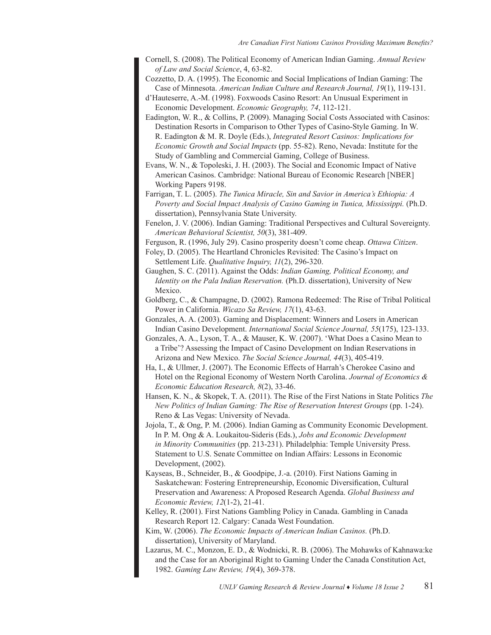- Cornell, S. (2008). The Political Economy of American Indian Gaming. *Annual Review of Law and Social Science*, 4, 63-82.
- Cozzetto, D. A. (1995). The Economic and Social Implications of Indian Gaming: The Case of Minnesota. *American Indian Culture and Research Journal, 19*(1), 119-131.
- d'Hauteserre, A.-M. (1998). Foxwoods Casino Resort: An Unusual Experiment in Economic Development. *Economic Geography, 74*, 112-121.
- Eadington, W. R., & Collins, P. (2009). Managing Social Costs Associated with Casinos: Destination Resorts in Comparison to Other Types of Casino-Style Gaming. In W. R. Eadington & M. R. Doyle (Eds.), *Integrated Resort Casinos: Implications for Economic Growth and Social Impacts* (pp. 55-82). Reno, Nevada: Institute for the Study of Gambling and Commercial Gaming, College of Business.
- Evans, W. N., & Topoleski, J. H. (2003). The Social and Economic Impact of Native American Casinos. Cambridge: National Bureau of Economic Research [NBER] Working Papers 9198.
- Farrigan, T. L. (2005). *The Tunica Miracle, Sin and Savior in America's Ethiopia: A Poverty and Social Impact Analysis of Casino Gaming in Tunica, Mississippi.* (Ph.D. dissertation), Pennsylvania State University.
- Fenelon, J. V. (2006). Indian Gaming: Traditional Perspectives and Cultural Sovereignty. *American Behavioral Scientist, 50*(3), 381-409.
- Ferguson, R. (1996, July 29). Casino prosperity doesn't come cheap. *Ottawa Citizen*.
- Foley, D. (2005). The Heartland Chronicles Revisited: The Casino's Impact on Settlement Life. *Qualitative Inquiry, 11*(2), 296-320.
- Gaughen, S. C. (2011). Against the Odds: *Indian Gaming, Political Economy, and Identity on the Pala Indian Reservation.* (Ph.D. dissertation), University of New Mexico.
- Goldberg, C., & Champagne, D. (2002). Ramona Redeemed: The Rise of Tribal Political Power in California. *Wicazo Sa Review, 17*(1), 43-63.
- Gonzales, A. A. (2003). Gaming and Displacement: Winners and Losers in American Indian Casino Development. *International Social Science Journal, 55*(175), 123-133.
- Gonzales, A. A., Lyson, T. A., & Mauser, K. W. (2007). 'What Does a Casino Mean to a Tribe'? Assessing the Impact of Casino Development on Indian Reservations in Arizona and New Mexico. *The Social Science Journal, 44*(3), 405-419.
- Ha, I., & Ullmer, J. (2007). The Economic Effects of Harrah's Cherokee Casino and Hotel on the Regional Economy of Western North Carolina. *Journal of Economics & Economic Education Research, 8*(2), 33-46.
- Hansen, K. N., & Skopek, T. A. (2011). The Rise of the First Nations in State Politics *The New Politics of Indian Gaming: The Rise of Reservation Interest Groups* (pp. 1-24). Reno & Las Vegas: University of Nevada.
- Jojola, T., & Ong, P. M. (2006). Indian Gaming as Community Economic Development. In P. M. Ong & A. Loukaitou-Sideris (Eds.), *Jobs and Economic Development in Minority Communities* (pp. 213-231). Philadelphia: Temple University Press. Statement to U.S. Senate Committee on Indian Affairs: Lessons in Economic Development, (2002).
- Kayseas, B., Schneider, B., & Goodpipe, J.-a. (2010). First Nations Gaming in Saskatchewan: Fostering Entrepreneurship, Economic Diversification, Cultural Preservation and Awareness: A Proposed Research Agenda. *Global Business and Economic Review, 12*(1-2), 21-41.
- Kelley, R. (2001). First Nations Gambling Policy in Canada. Gambling in Canada Research Report 12. Calgary: Canada West Foundation.
- Kim, W. (2006). *The Economic Impacts of American Indian Casinos.* (Ph.D. dissertation), University of Maryland.
- Lazarus, M. C., Monzon, E. D., & Wodnicki, R. B. (2006). The Mohawks of Kahnawa:ke and the Case for an Aboriginal Right to Gaming Under the Canada Constitution Act, 1982. *Gaming Law Review, 19*(4), 369-378.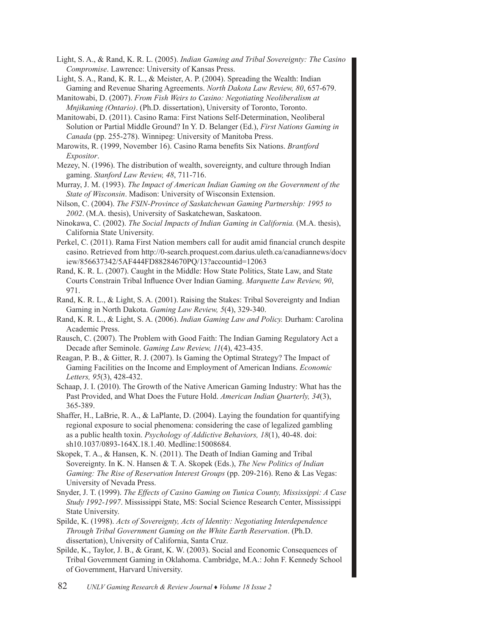Light, S. A., & Rand, K. R. L. (2005). *Indian Gaming and Tribal Sovereignty: The Casino Compromise*. Lawrence: University of Kansas Press.

Light, S. A., Rand, K. R. L., & Meister, A. P. (2004). Spreading the Wealth: Indian Gaming and Revenue Sharing Agreements. *North Dakota Law Review, 80*, 657-679.

Manitowabi, D. (2007). *From Fish Weirs to Casino: Negotiating Neoliberalism at Mnjikaning (Ontario)*. (Ph.D. dissertation), University of Toronto, Toronto.

- Manitowabi, D. (2011). Casino Rama: First Nations Self-Determination, Neoliberal Solution or Partial Middle Ground? In Y. D. Belanger (Ed.), *First Nations Gaming in Canada* (pp. 255-278). Winnipeg: University of Manitoba Press.
- Marowits, R. (1999, November 16). Casino Rama benefits Six Nations. *Brantford Expositor*.
- Mezey, N. (1996). The distribution of wealth, sovereignty, and culture through Indian gaming. *Stanford Law Review, 48*, 711-716.
- Murray, J. M. (1993). *The Impact of American Indian Gaming on the Government of the State of Wisconsin*. Madison: University of Wisconsin Extension.
- Nilson, C. (2004). *The FSIN-Province of Saskatchewan Gaming Partnership: 1995 to 2002*. (M.A. thesis), University of Saskatchewan, Saskatoon.
- Ninokawa, C. (2002). *The Social Impacts of Indian Gaming in California.* (M.A. thesis), California State University.
- Perkel, C. (2011). Rama First Nation members call for audit amid financial crunch despite casino. Retrieved from http://0-search.proquest.com.darius.uleth.ca/canadiannews/docv iew/856637342/5AF444FD88284670PQ/13?accountid=12063
- Rand, K. R. L. (2007). Caught in the Middle: How State Politics, State Law, and State Courts Constrain Tribal Influence Over Indian Gaming. *Marquette Law Review, 90*, 971.
- Rand, K. R. L., & Light, S. A. (2001). Raising the Stakes: Tribal Sovereignty and Indian Gaming in North Dakota. *Gaming Law Review, 5*(4), 329-340.
- Rand, K. R. L., & Light, S. A. (2006). *Indian Gaming Law and Policy.* Durham: Carolina Academic Press.
- Rausch, C. (2007). The Problem with Good Faith: The Indian Gaming Regulatory Act a Decade after Seminole. *Gaming Law Review, 11*(4), 423-435.
- Reagan, P. B., & Gitter, R. J. (2007). Is Gaming the Optimal Strategy? The Impact of Gaming Facilities on the Income and Employment of American Indians. *Economic Letters, 95*(3), 428-432.
- Schaap, J. I. (2010). The Growth of the Native American Gaming Industry: What has the Past Provided, and What Does the Future Hold. *American Indian Quarterly, 34*(3), 365-389.
- Shaffer, H., LaBrie, R. A., & LaPlante, D. (2004). Laying the foundation for quantifying regional exposure to social phenomena: considering the case of legalized gambling as a public health toxin. *Psychology of Addictive Behaviors, 18*(1), 40-48. doi: sh10.1037/0893-164X.18.1.40. Medline:15008684.
- Skopek, T. A., & Hansen, K. N. (2011). The Death of Indian Gaming and Tribal Sovereignty. In K. N. Hansen & T. A. Skopek (Eds.), *The New Politics of Indian Gaming: The Rise of Reservation Interest Groups* (pp. 209-216). Reno & Las Vegas: University of Nevada Press.
- Snyder, J. T. (1999). *The Effects of Casino Gaming on Tunica County, Mississippi: A Case Study 1992-1997*. Mississippi State, MS: Social Science Research Center, Mississippi State University.
- Spilde, K. (1998). *Acts of Sovereignty, Acts of Identity: Negotiating Interdependence Through Tribal Government Gaming on the White Earth Reservation*. (Ph.D. dissertation), University of California, Santa Cruz.
- Spilde, K., Taylor, J. B., & Grant, K. W. (2003). Social and Economic Consequences of Tribal Government Gaming in Oklahoma. Cambridge, M.A.: John F. Kennedy School of Government, Harvard University.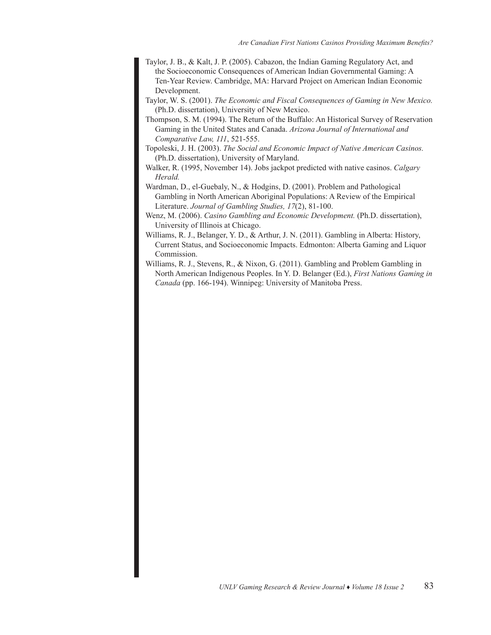- Taylor, J. B., & Kalt, J. P. (2005). Cabazon, the Indian Gaming Regulatory Act, and the Socioeconomic Consequences of American Indian Governmental Gaming: A Ten-Year Review. Cambridge, MA: Harvard Project on American Indian Economic Development.
- Taylor, W. S. (2001). *The Economic and Fiscal Consequences of Gaming in New Mexico.*  (Ph.D. dissertation), University of New Mexico.
- Thompson, S. M. (1994). The Return of the Buffalo: An Historical Survey of Reservation Gaming in the United States and Canada. *Arizona Journal of International and Comparative Law, 111*, 521-555.
- Topoleski, J. H. (2003). *The Social and Economic Impact of Native American Casinos.* (Ph.D. dissertation), University of Maryland.
- Walker, R. (1995, November 14). Jobs jackpot predicted with native casinos. *Calgary Herald.*
- Wardman, D., el-Guebaly, N., & Hodgins, D. (2001). Problem and Pathological Gambling in North American Aboriginal Populations: A Review of the Empirical Literature. *Journal of Gambling Studies, 17*(2), 81-100.
- Wenz, M. (2006). *Casino Gambling and Economic Development.* (Ph.D. dissertation), University of Illinois at Chicago.
- Williams, R. J., Belanger, Y. D., & Arthur, J. N. (2011). Gambling in Alberta: History, Current Status, and Socioeconomic Impacts. Edmonton: Alberta Gaming and Liquor Commission.
- Williams, R. J., Stevens, R., & Nixon, G. (2011). Gambling and Problem Gambling in North American Indigenous Peoples. In Y. D. Belanger (Ed.), *First Nations Gaming in Canada* (pp. 166-194). Winnipeg: University of Manitoba Press.